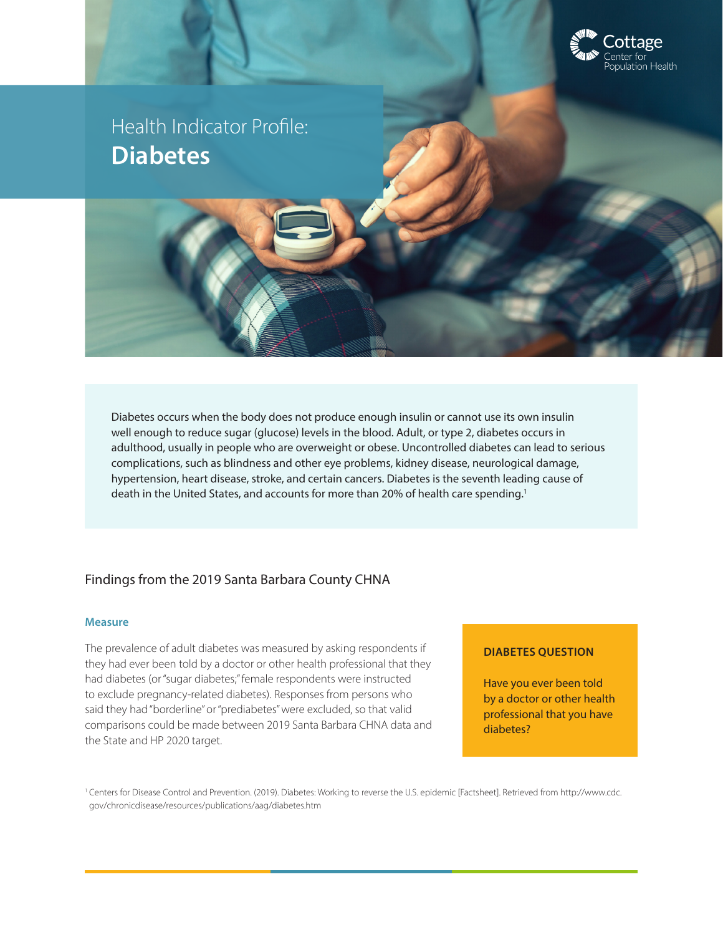

Health Indicator Profile: **Diabetes**

Diabetes occurs when the body does not produce enough insulin or cannot use its own insulin well enough to reduce sugar (glucose) levels in the blood. Adult, or type 2, diabetes occurs in adulthood, usually in people who are overweight or obese. Uncontrolled diabetes can lead to serious complications, such as blindness and other eye problems, kidney disease, neurological damage, hypertension, heart disease, stroke, and certain cancers. Diabetes is the seventh leading cause of death in the United States, and accounts for more than 20% of health care spending.<sup>1</sup>

# Findings from the 2019 Santa Barbara County CHNA

## **Measure**

The prevalence of adult diabetes was measured by asking respondents if they had ever been told by a doctor or other health professional that they had diabetes (or "sugar diabetes;" female respondents were instructed to exclude pregnancy-related diabetes). Responses from persons who said they had "borderline" or "prediabetes" were excluded, so that valid comparisons could be made between 2019 Santa Barbara CHNA data and the State and HP 2020 target.

# **DIABETES QUESTION**

Have you ever been told by a doctor or other health professional that you have diabetes?

<sup>1</sup> Centers for Disease Control and Prevention. (2019). Diabetes: Working to reverse the U.S. epidemic [Factsheet]. Retrieved from http://www.cdc. gov/chronicdisease/resources/publications/aag/diabetes.htm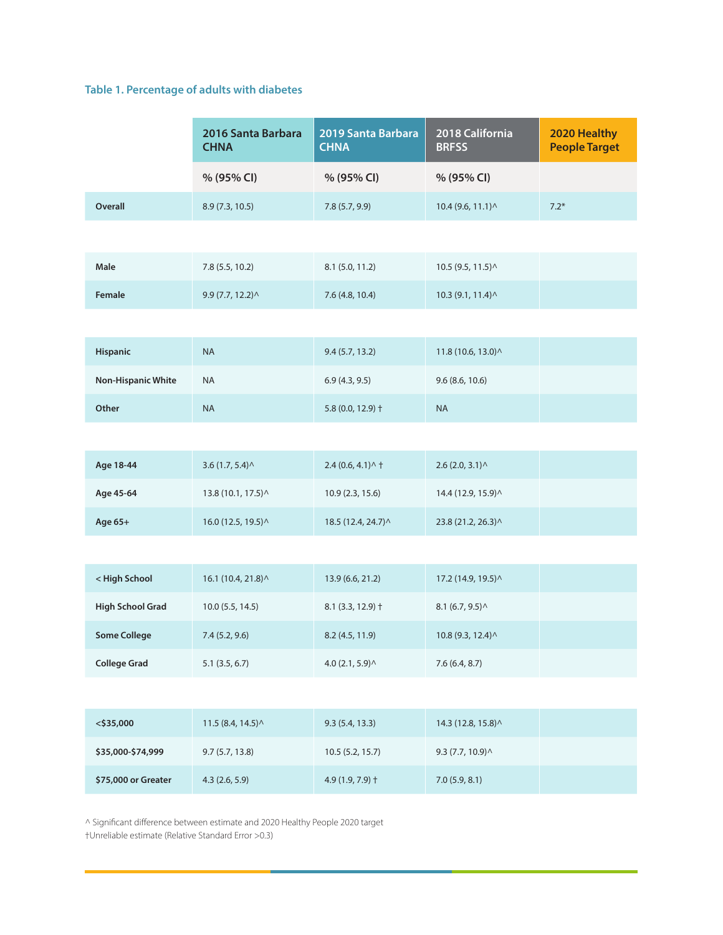# **Table 1. Percentage of adults with diabetes**

|                           | 2016 Santa Barbara<br><b>CHNA</b> | 2019 Santa Barbara<br><b>CHNA</b>              | 2018 California<br><b>BRFSS</b>                 | 2020 Healthy<br><b>People Target</b> |
|---------------------------|-----------------------------------|------------------------------------------------|-------------------------------------------------|--------------------------------------|
|                           | % (95% CI)                        | % (95% CI)                                     | % (95% CI)                                      |                                      |
| <b>Overall</b>            | 8.9 (7.3, 10.5)                   | 7.8(5.7, 9.9)                                  | 10.4 (9.6, 11.1) ^                              | $7.2*$                               |
|                           |                                   |                                                |                                                 |                                      |
| Male                      | 7.8 (5.5, 10.2)                   | 8.1 (5.0, 11.2)                                | 10.5 (9.5, 11.5) ^                              |                                      |
| <b>Female</b>             | 9.9(7.7, 12.2)                    | 7.6 (4.8, 10.4)                                | 10.3 (9.1, 11.4) ^                              |                                      |
|                           |                                   |                                                |                                                 |                                      |
| Hispanic                  | <b>NA</b>                         | 9.4(5.7, 13.2)                                 | 11.8 (10.6, 13.0) ^                             |                                      |
| <b>Non-Hispanic White</b> | <b>NA</b>                         | 6.9(4.3, 9.5)                                  | 9.6(8.6, 10.6)                                  |                                      |
| Other                     | <b>NA</b>                         | 5.8 (0.0, 12.9) +                              | <b>NA</b>                                       |                                      |
|                           |                                   |                                                |                                                 |                                      |
| Age 18-44                 | 3.6(1.7, 5.4)                     | $2.4(0.6, 4.1)$ ^ †                            | $2.6$ (2.0, 3.1) $\land$                        |                                      |
| Age 45-64                 | 13.8 (10.1, 17.5) ^               | 10.9 (2.3, 15.6)                               | 14.4 (12.9, 15.9) ^                             |                                      |
| Age 65+                   | 16.0 (12.5, 19.5) ^               | 18.5 (12.4, 24.7) ^                            | 23.8 (21.2, 26.3) ^                             |                                      |
|                           |                                   |                                                |                                                 |                                      |
| < High School             | 16.1 (10.4, 21.8) ^               | 13.9 (6.6, 21.2)                               | 17.2 (14.9, 19.5) ^                             |                                      |
| <b>High School Grad</b>   | $10.0$ (5.5, 14.5)                | $8.1$ (3.3, 12.9) $\dagger$                    | 8.1 (6.7, 9.5)                                  |                                      |
| <b>Some College</b>       | 7.4 (5.2, 9.6)                    | 8.2 (4.5, 11.9)                                | 10.8 (9.3, 12.4) ^                              |                                      |
| <b>College Grad</b>       | $5.1$ $(3.5, 6.7)$                | $4.0(2.1, 5.9)$ <sup><math>\wedge</math></sup> | 7.6(6.4, 8.7)                                   |                                      |
|                           |                                   |                                                |                                                 |                                      |
| $<$ \$35,000              | 11.5(8.4, 14.5)                   | 9.3(5.4, 13.3)                                 | 14.3 (12.8, 15.8) ^                             |                                      |
| \$35,000-\$74,999         | 9.7(5.7, 13.8)                    | 10.5 (5.2, 15.7)                               | $9.3(7.7, 10.9)$ <sup><math>\wedge</math></sup> |                                      |
| \$75,000 or Greater       | 4.3(2.6, 5.9)                     | 4.9 (1.9, 7.9) +                               | 7.0(5.9, 8.1)                                   |                                      |

^ Significant difference between estimate and 2020 Healthy People 2020 target

†Unreliable estimate (Relative Standard Error >0.3)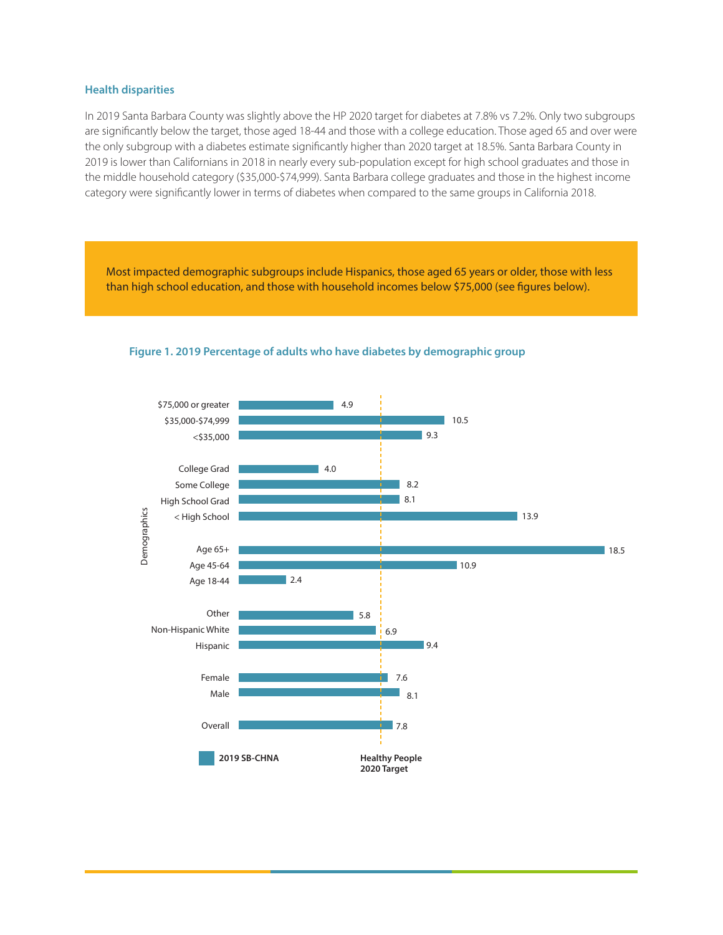#### **Health disparities**

In 2019 Santa Barbara County was slightly above the HP 2020 target for diabetes at 7.8% vs 7.2%. Only two subgroups are significantly below the target, those aged 18-44 and those with a college education. Those aged 65 and over were the only subgroup with a diabetes estimate significantly higher than 2020 target at 18.5%. Santa Barbara County in 2019 is lower than Californians in 2018 in nearly every sub-population except for high school graduates and those in the middle household category (\$35,000-\$74,999). Santa Barbara college graduates and those in the highest income category were significantly lower in terms of diabetes when compared to the same groups in California 2018.

Most impacted demographic subgroups include Hispanics, those aged 65 years or older, those with less than high school education, and those with household incomes below \$75,000 (see figures below).



#### **Figure 1. 2019 Percentage of adults who have diabetes by demographic group**